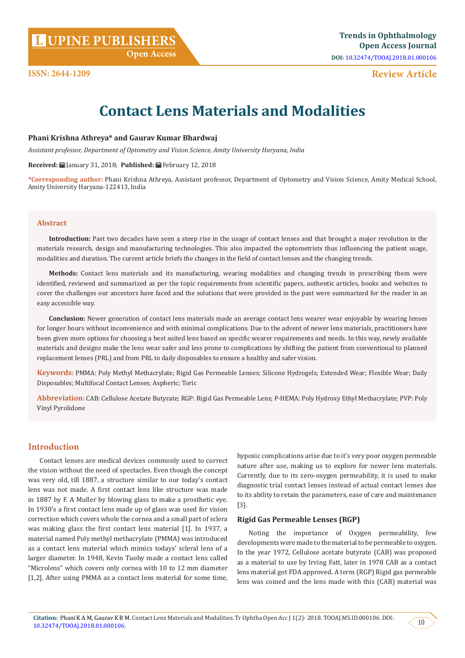# **DESCRIPS CONTRACT SET OF ACCESS JOURNAL PUBLISHERS**

 **Open Access**

## **Review Article**

# **Contact Lens Materials and Modalities**

#### **Phani Krishna Athreya\* and Gaurav Kumar Bhardwaj**

*Assistant professor, Department of Optometry and Vision Science, Amity University Haryana, India*

**Received:** January 31, 2018; **Published:** February 12, 2018

**\*Corresponding author:** Phani Krishna Athreya, Assistant professor, Department of Optometry and Vision Science, Amity Medical School, Amity University Haryana-122413, India

#### **Abstract**

**Introduction:** Past two decades have seen a steep rise in the usage of contact lenses and that brought a major revolution in the materials research, design and manufacturing technologies. This also impacted the optometrists thus influencing the patient usage, modalities and duration. The current article briefs the changes in the field of contact lenses and the changing trends.

**Methods:** Contact lens materials and its manufacturing, wearing modalities and changing trends in prescribing them were identified, reviewed and summarized as per the topic requirements from scientific papers, authentic articles, books and websites to cover the challenges our ancestors have faced and the solutions that were provided in the past were summarized for the reader in an easy accessible way.

**Conclusion:** Newer generation of contact lens materials made an average contact lens wearer wear enjoyable by wearing lenses for longer hours without inconvenience and with minimal complications. Due to the advent of newer lens materials, practitioners have been given more options for choosing a best suited lens based on specific wearer requirements and needs. In this way, newly available materials and designs make the lens wear safer and less prone to complications by shifting the patient from conventional to planned replacement lenses (PRL) and from PRL to daily disposables to ensure a healthy and safer vision.

**Keywords:** PMMA: Poly Methyl Methacrylate; Rigid Gas Permeable Lenses; Silicone Hydrogels; Extended Wear; Flexible Wear; Daily Disposables; Multifocal Contact Lenses; Aspheric; Toric

**Abbreviation:** CAB: Cellulose Acetate Butyrate; RGP: Rigid Gas Permeable Lens; P-HEMA: Poly Hydroxy Ethyl Methacrylate; PVP: Poly Vinyl Pyrolidone

### **Introduction**

Contact lenses are medical devices commonly used to correct the vision without the need of spectacles. Even though the concept was very old, till 1887, a structure similar to our today's contact lens was not made. A first contact lens like structure was made in 1887 by F. A Muller by blowing glass to make a prosthetic eye. In 1930's a first contact lens made up of glass was used for vision correction which covers whole the cornea and a small part of sclera was making glass the first contact lens material [1]. In 1937, a material named Poly methyl methacrylate (PMMA) was introduced as a contact lens material which mimics todays' scleral lens of a larger diameter. In 1948, Kevin Tuohy made a contact lens called "Microlens" which covers only cornea with 10 to 12 mm diameter [1,2]. After using PMMA as a contact lens material for some time,

hypoxic complications arise due to it's very poor oxygen permeable nature after use, making us to explore for newer lens materials. Currently, due to its zero-oxygen permeability, it is used to make diagnostic trial contact lenses instead of actual contact lenses due to its ability to retain the parameters, ease of care and maintenance [3].

#### **Rigid Gas Permeable Lenses (RGP)**

Noting the importance of Oxygen permeability, few developments were made to the material to be permeable to oxygen. In the year 1972, Cellulose acetate butyrate (CAB) was proposed as a material to use by Irving Fatt, later in 1978 CAB as a contact lens material got FDA approved. A term (RGP) Rigid gas permeable lens was coined and the lens made with this (CAB) material was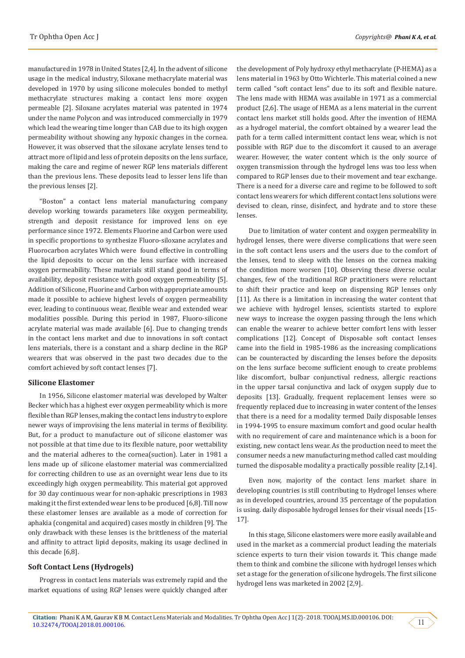manufactured in 1978 in United States [2,4]. In the advent of silicone usage in the medical industry, Siloxane methacrylate material was developed in 1970 by using silicone molecules bonded to methyl methacrylate structures making a contact lens more oxygen permeable [2]. Siloxane acrylates material was patented in 1974 under the name Polycon and was introduced commercially in 1979 which lead the wearing time longer than CAB due to its high oxygen permeability without showing any hypoxic changes in the cornea. However, it was observed that the siloxane acrylate lenses tend to attract more of lipid and less of protein deposits on the lens surface, making the care and regime of newer RGP lens materials different than the previous lens. These deposits lead to lesser lens life than the previous lenses [2].

"Boston" a contact lens material manufacturing company develop working towards parameters like oxygen permeability, strength and deposit resistance for improved lens on eye performance since 1972. Elements Fluorine and Carbon were used in specific proportions to synthesize Fluoro-siloxane acrylates and Fluorocarbon acrylates Which were found effective in controlling the lipid deposits to occur on the lens surface with increased oxygen permeability. These materials still stand good in terms of availability, deposit resistance with good oxygen permeability [5]. Addition of Silicone, Fluorine and Carbon with appropriate amounts made it possible to achieve highest levels of oxygen permeability ever, leading to continuous wear, flexible wear and extended wear modalities possible. During this period in 1987, Fluoro-silicone acrylate material was made available [6]. Due to changing trends in the contact lens market and due to innovations in soft contact lens materials, there is a constant and a sharp decline in the RGP wearers that was observed in the past two decades due to the comfort achieved by soft contact lenses [7].

#### **Silicone Elastomer**

In 1956, Silicone elastomer material was developed by Walter Becker which has a highest ever oxygen permeability which is more flexible than RGP lenses, making the contact lens industry to explore newer ways of improvising the lens material in terms of flexibility. But, for a product to manufacture out of silicone elastomer was not possible at that time due to its flexible nature, poor wettability and the material adheres to the cornea(suction). Later in 1981 a lens made up of silicone elastomer material was commercialized for correcting children to use as an overnight wear lens due to its exceedingly high oxygen permeability. This material got approved for 30 day continuous wear for non-aphakic prescriptions in 1983 making it the first extended wear lens to be produced [6,8]. Till now these elastomer lenses are available as a mode of correction for aphakia (congenital and acquired) cases mostly in children [9]. The only drawback with these lenses is the brittleness of the material and affinity to attract lipid deposits, making its usage declined in this decade [6,8].

#### **Soft Contact Lens (Hydrogels)**

Progress in contact lens materials was extremely rapid and the market equations of using RGP lenses were quickly changed after the development of Poly hydroxy ethyl methacrylate (P-HEMA) as a lens material in 1963 by Otto Wichterle. This material coined a new term called "soft contact lens" due to its soft and flexible nature. The lens made with HEMA was available in 1971 as a commercial product [2,6]. The usage of HEMA as a lens material in the current contact lens market still holds good. After the invention of HEMA as a hydrogel material, the comfort obtained by a wearer lead the path for a term called intermittent contact lens wear, which is not possible with RGP due to the discomfort it caused to an average wearer. However, the water content which is the only source of oxygen transmission through the hydrogel lens was too less when compared to RGP lenses due to their movement and tear exchange. There is a need for a diverse care and regime to be followed to soft contact lens wearers for which different contact lens solutions were devised to clean, rinse, disinfect, and hydrate and to store these lenses.

Due to limitation of water content and oxygen permeability in hydrogel lenses, there were diverse complications that were seen in the soft contact lens users and the users due to the comfort of the lenses, tend to sleep with the lenses on the cornea making the condition more worsen [10]. Observing these diverse ocular changes, few of the traditional RGP practitioners were reluctant to shift their practice and keep on dispensing RGP lenses only [11]. As there is a limitation in increasing the water content that we achieve with hydrogel lenses, scientists started to explore new ways to increase the oxygen passing through the lens which can enable the wearer to achieve better comfort lens with lesser complications [12]. Concept of Disposable soft contact lenses came into the field in 1985-1986 as the increasing complications can be counteracted by discarding the lenses before the deposits on the lens surface become sufficient enough to create problems like discomfort, bulbar conjunctival redness, allergic reactions in the upper tarsal conjunctiva and lack of oxygen supply due to deposits [13]. Gradually, frequent replacement lenses were so frequently replaced due to increasing in water content of the lenses that there is a need for a modality termed Daily disposable lenses in 1994-1995 to ensure maximum comfort and good ocular health with no requirement of care and maintenance which is a boon for existing, new contact lens wear. As the production need to meet the consumer needs a new manufacturing method called cast moulding turned the disposable modality a practically possible reality [2,14].

Even now, majority of the contact lens market share in developing countries is still contributing to Hydrogel lenses where as in developed countries, around 35 percentage of the population is using. daily disposable hydrogel lenses for their visual needs [15- 17].

In this stage, Silicone elastomers were more easily available and used in the market as a commercial product leading the materials science experts to turn their vision towards it. This change made them to think and combine the silicone with hydrogel lenses which set a stage for the generation of silicone hydrogels. The first silicone hydrogel lens was marketed in 2002 [2,9].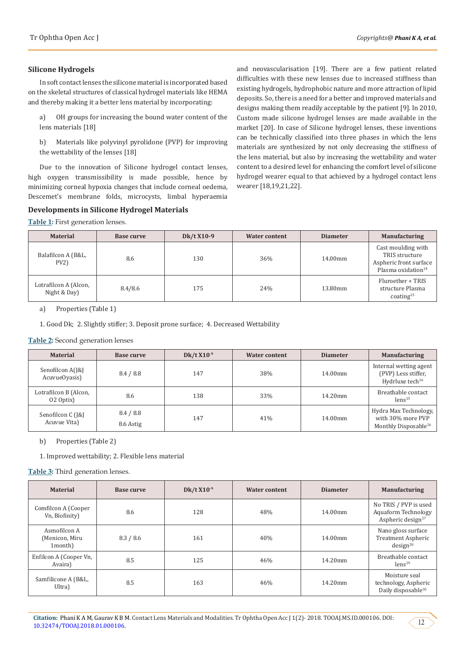#### **Silicone Hydrogels**

In soft contact lenses the silicone material is incorporated based on the skeletal structures of classical hydrogel materials like HEMA and thereby making it a better lens material by incorporating:

a) OH groups for increasing the bound water content of the lens materials [18]

b) Materials like polyvinyl pyrolidone (PVP) for improving the wettability of the lenses [18]

Due to the innovation of Silicone hydrogel contact lenses, high oxygen transmissibility is made possible, hence by minimizing corneal hypoxia changes that include corneal oedema, Descemet's membrane folds, microcysts, limbal hyperaemia

### **Developments in Silicone Hydrogel Materials**

**Table 1:** First generation lenses.

and neovascularisation [19]. There are a few patient related difficulties with these new lenses due to increased stiffness than existing hydrogels, hydrophobic nature and more attraction of lipid deposits. So, there is a need for a better and improved materials and designs making them readily acceptable by the patient [9]. In 2010, Custom made silicone hydrogel lenses are made available in the market [20]. In case of Silicone hydrogel lenses, these inventions can be technically classified into three phases in which the lens materials are synthesized by not only decreasing the stiffness of the lens material, but also by increasing the wettability and water content to a desired level for enhancing the comfort level of silicone hydrogel wearer equal to that achieved by a hydrogel contact lens wearer [18,19,21,22].

| <b>Material</b>                       | Base curve | Dk/t X10-9 | <b>Water content</b> | <b>Diameter</b> | <b>Manufacturing</b>                                                                             |
|---------------------------------------|------------|------------|----------------------|-----------------|--------------------------------------------------------------------------------------------------|
| Balafilcon A (B&L,<br>$PV2$ )         | 8.6        | 130        | 36%                  | 14.00mm         | Cast moulding with<br>TRIS structure<br>Aspheric front surface<br>Plasma oxidation <sup>24</sup> |
| Lotrafilcon A (Alcon,<br>Night & Day) | 8.4/8.6    | 175        | 24%                  | 13.80mm         | Fluroether + TRIS<br>structure Plasma<br>$\frac{1}{25}$                                          |

a) Properties (Table 1)

1. Good Dk; 2. Slightly stiffer; 3. Deposit prone surface; 4. Decreased Wettability

#### **Table 2:** Second generation lenses

| <b>Material</b>                    | Base curve             | Dk/t $X10^{-9}$ | <b>Water content</b> | <b>Diameter</b>       | <b>Manufacturing</b>                                                           |
|------------------------------------|------------------------|-----------------|----------------------|-----------------------|--------------------------------------------------------------------------------|
| Senofilcon A(J&J<br>AcuvueOyasis)  | 8.4 / 8.8              | 147             | 38%                  | $14.00 \,\mathrm{mm}$ | Internal wetting agent<br>(PVP) Less stiffer,<br>Hydrluxe tech <sup>26</sup>   |
| Lotrafilcon B (Alcon,<br>02 Optix) | 8.6                    | 138             | 33%                  | 14.20mm               | Breathable contact<br>lens <sup>25</sup>                                       |
| Senofilcon C (J&J<br>Acuvue Vita)  | 8.4 / 8.8<br>8.6 Astig | 147             | 41%                  | 14.00mm               | Hydra Max Technology,<br>with 30% more PVP<br>Monthly Disposable <sup>26</sup> |

b) Properties (Table 2)

1. Improved wettability; 2. Flexible lens material

**Table 3:** Third generation lenses.

| <b>Material</b>                           | Base curve | Dk/t $X10^{-9}$ | <b>Water content</b> | <b>Diameter</b> | <b>Manufacturing</b>                                                          |
|-------------------------------------------|------------|-----------------|----------------------|-----------------|-------------------------------------------------------------------------------|
| Comfilcon A (Cooper<br>Vn, Biofinity)     | 8.6        | 128             | 48%                  | $14.00$ mm      | No TRIS / PVP is used<br>Aquaform Technology<br>Aspheric design <sup>27</sup> |
| Asmofilcon A<br>(Menicon, Miru<br>1month) | 8.3 / 8.6  | 161             | 40%                  | $14.00$ mm      | Nano gloss surface<br><b>Treatment Aspheric</b><br>design <sup>28</sup>       |
| Enfilcon A (Cooper Vn,<br>Avaira)         | 8.5        | 125             | 46%                  | $14.20$ mm      | Breathable contact<br>lens <sup>29</sup>                                      |
| Samfilicone A (B&L,<br>Ultra)             | 8.5        | 163             | 46%                  | $14.20$ mm      | Moisture seal<br>technology, Aspheric<br>Daily disposable <sup>30</sup>       |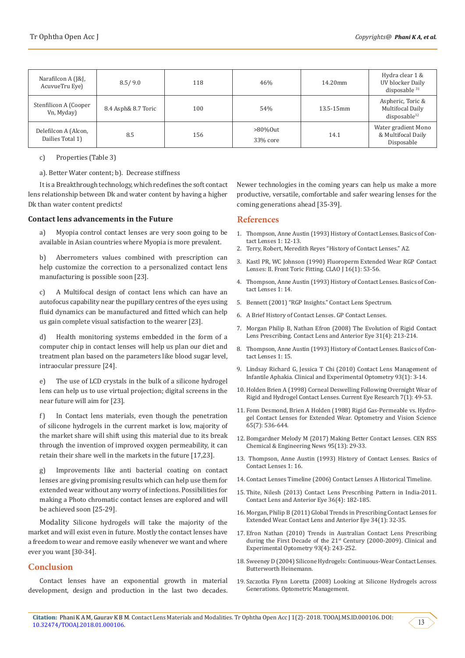| Narafilcon A (J&J,<br>AcuvueTru Eye)     | 8.5/9.0             | 118 | 46%                     | 14.20mm   | Hydra clear 1 &<br>UV blocker Daily<br>disposable $31$            |
|------------------------------------------|---------------------|-----|-------------------------|-----------|-------------------------------------------------------------------|
| Stenfilicon A (Cooper<br>Vn, Myday)      | 8.4 Asph& 8.7 Toric | 100 | 54%                     | 13.5-15mm | Aspheric, Toric &<br>Multifocal Daily<br>disposable <sup>32</sup> |
| Delefilcon A (Alcon,<br>Dailies Total 1) | 8.5                 | 156 | $>80\%$ Out<br>33% core | 14.1      | Water gradient Mono<br>& Multifocal Daily<br>Disposable           |

c) Properties (Table 3)

a). Better Water content; b). Decrease stiffness

It is a Breakthrough technology, which redefines the soft contact lens relationship between Dk and water content by having a higher Dk than water content predicts!

#### **Contact lens advancements in the Future**

a) Myopia control contact lenses are very soon going to be available in Asian countries where Myopia is more prevalent.

b) Aberrometers values combined with prescription can help customize the correction to a personalized contact lens manufacturing is possible soon [23].

c) A Multifocal design of contact lens which can have an autofocus capability near the pupillary centres of the eyes using fluid dynamics can be manufactured and fitted which can help us gain complete visual satisfaction to the wearer [23].

d) Health monitoring systems embedded in the form of a computer chip in contact lenses will help us plan our diet and treatment plan based on the parameters like blood sugar level, intraocular pressure [24].

e) The use of LCD crystals in the bulk of a silicone hydrogel lens can help us to use virtual projection; digital screens in the near future will aim for [23].

f) In Contact lens materials, even though the penetration of silicone hydrogels in the current market is low, majority of the market share will shift using this material due to its break through the invention of improved oxygen permeability, it can retain their share well in the markets in the future [17,23].

g) Improvements like anti bacterial coating on contact lenses are giving promising results which can help use them for extended wear without any worry of infections. Possibilities for making a Photo chromatic contact lenses are explored and will be achieved soon [25-29].

Modality Silicone hydrogels will take the majority of the market and will exist even in future. Mostly the contact lenses have a freedom to wear and remove easily whenever we want and where ever you want [30-34].

#### **Conclusion**

Contact lenses have an exponential growth in material development, design and production in the last two decades. Newer technologies in the coming years can help us make a more productive, versatile, comfortable and safer wearing lenses for the coming generations ahead [35-39].

#### **References**

- 1. Thompson, Anne Austin (1993) History of Contact Lenses. Basics of Contact Lenses 1: 12-13.
- 2. Terry, Robert, Meredith Reyes "History of Contact Lenses." A2.
- 3. [Kastl PR, WC Johnson \(1990\) Fluoroperm Extended Wear RGP Contact](https://www.ncbi.nlm.nih.gov/pubmed/2306854) [Lenses: II. Front Toric Fitting. CLAO J 16\(1\): 53-56.](https://www.ncbi.nlm.nih.gov/pubmed/2306854)
- 4. Thompson, Anne Austin (1993) History of Contact Lenses. Basics of Contact Lenses 1: 14.
- 5. Bennett (2001) "RGP Insights." Contact Lens Spectrum.
- 6. [A Brief History of Contact Lenses. GP Contact Lenses.](http://www.contactlenses.org/timeline.htm)
- 7. [Morgan Philip B, Nathan Efron \(2008\) The Evolution of Rigid Contact](https://www.ncbi.nlm.nih.gov/pubmed/18599339) [Lens Prescribing. Contact Lens and Anterior Eye 31\(4\): 213-214.](https://www.ncbi.nlm.nih.gov/pubmed/18599339)
- 8. Thompson, Anne Austin (1993) History of Contact Lenses. Basics of Contact Lenses 1: 15.
- 9. [Lindsay Richard G, Jessica T Chi \(2010\) Contact Lens Management of](https://www.ncbi.nlm.nih.gov/pubmed/20070735) [Infantile Aphakia. Clinical and Experimental Optometry 93\(1\): 3-14.](https://www.ncbi.nlm.nih.gov/pubmed/20070735)
- 10. [Holden Brien A \(1998\) Corneal Deswelling Following Overnight Wear of](https://www.ncbi.nlm.nih.gov/pubmed/3162866) [Rigid and Hydrogel Contact Lenses. Current Eye Research 7\(1\): 49-53.](https://www.ncbi.nlm.nih.gov/pubmed/3162866)
- 11. [Fonn Desmond, Brien A Holden \(1988\) Rigid Gas-Permeable vs. Hydro](https://www.ncbi.nlm.nih.gov/pubmed/3061308)[gel Contact Lenses for Extended Wear. Optometry and Vision Science](https://www.ncbi.nlm.nih.gov/pubmed/3061308) [65\(7\): 536-644.](https://www.ncbi.nlm.nih.gov/pubmed/3061308)
- 12. [Bomgardner Melody M \(2017\) Making Better Contact Lenses. CEN RSS](https://cen.acs.org/articles/95/i13/Making-better-contact-lenses.html) [Chemical & Engineering News 95\(13\): 29-33.](https://cen.acs.org/articles/95/i13/Making-better-contact-lenses.html)
- 13. Thompson, Anne Austin (1993) History of Contact Lenses. Basics of Contact Lenses 1: 16.
- 14. [Contact Lenses Timeline \(2006\) Contact Lenses A Historical Timeline.](http://www.twoop.com/medicine/archives/2005/10/contact_lenses.html)
- 15. [Thite, Nilesh \(2013\) Contact Lens Prescribing Pattern in India-2011.](https://www.ncbi.nlm.nih.gov/pubmed/23357473) [Contact Lens and Anterior Eye 36\(4\): 182-185.](https://www.ncbi.nlm.nih.gov/pubmed/23357473)
- 16. [Morgan, Philip B \(2011\) Global Trends in Prescribing Contact Lenses for](https://www.ncbi.nlm.nih.gov/pubmed/20630794) [Extended Wear. Contact Lens and Anterior Eye 34\(1\): 32-35.](https://www.ncbi.nlm.nih.gov/pubmed/20630794)
- 17. [Efron Nathan \(2010\) Trends in Australian Contact Lens Prescribing](https://www.ncbi.nlm.nih.gov/pubmed/20579080) during the First Decade of the 21<sup>st</sup> Century (2000-2009). Clinical and [Experimental Optometry 93\(4\): 243-252.](https://www.ncbi.nlm.nih.gov/pubmed/20579080)
- 18. Sweeney D (2004) Silicone Hydrogels: Continuous-Wear Contact Lenses. Butterworth Heinemann.
- 19. [Szczotka Flynn Loretta \(2008\) Looking at Silicone Hydrogels across](https://www.optometricmanagement.com/issues/2008/may-2008/looking-at-silicone-hydrogels-across-generations) [Generations. Optometric Management.](https://www.optometricmanagement.com/issues/2008/may-2008/looking-at-silicone-hydrogels-across-generations)